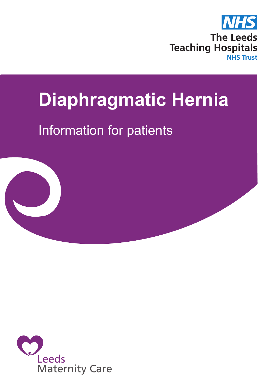

# **Diaphragmatic Hernia**

# Information for patients



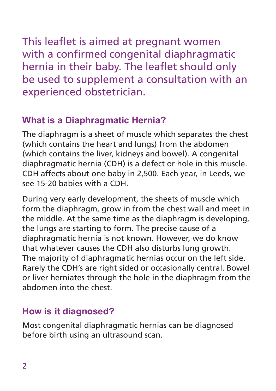This leaflet is aimed at pregnant women with a confirmed congenital diaphragmatic hernia in their baby. The leaflet should only be used to supplement a consultation with an experienced obstetrician.

# **What is a Diaphragmatic Hernia?**

The diaphragm is a sheet of muscle which separates the chest (which contains the heart and lungs) from the abdomen (which contains the liver, kidneys and bowel). A congenital diaphragmatic hernia (CDH) is a defect or hole in this muscle. CDH affects about one baby in 2,500. Each year, in Leeds, we see 15-20 babies with a CDH.

During very early development, the sheets of muscle which form the diaphragm, grow in from the chest wall and meet in the middle. At the same time as the diaphragm is developing, the lungs are starting to form. The precise cause of a diaphragmatic hernia is not known. However, we do know that whatever causes the CDH also disturbs lung growth. The majority of diaphragmatic hernias occur on the left side. Rarely the CDH's are right sided or occasionally central. Bowel or liver herniates through the hole in the diaphragm from the abdomen into the chest.

# **How is it diagnosed?**

Most congenital diaphragmatic hernias can be diagnosed before birth using an ultrasound scan.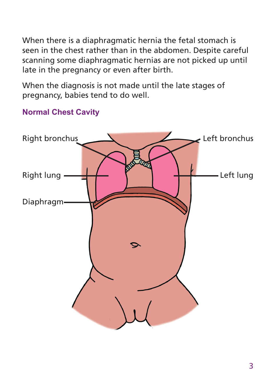When there is a diaphragmatic hernia the fetal stomach is seen in the chest rather than in the abdomen. Despite careful scanning some diaphragmatic hernias are not picked up until late in the pregnancy or even after birth.

When the diagnosis is not made until the late stages of pregnancy, babies tend to do well.

### **Normal Chest Cavity**

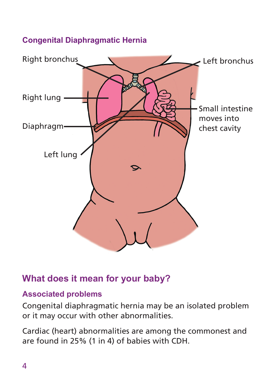#### **Congenital Diaphragmatic Hernia**



## **What does it mean for your baby?**

#### **Associated problems**

Congenital diaphragmatic hernia may be an isolated problem or it may occur with other abnormalities.

Cardiac (heart) abnormalities are among the commonest and are found in 25% (1 in 4) of babies with CDH.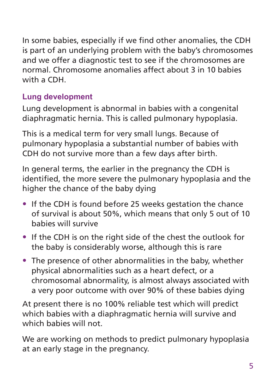In some babies, especially if we find other anomalies, the CDH is part of an underlying problem with the baby's chromosomes and we offer a diagnostic test to see if the chromosomes are normal. Chromosome anomalies affect about 3 in 10 babies with a CDH.

### **Lung development**

Lung development is abnormal in babies with a congenital diaphragmatic hernia. This is called pulmonary hypoplasia.

This is a medical term for very small lungs. Because of pulmonary hypoplasia a substantial number of babies with CDH do not survive more than a few days after birth.

In general terms, the earlier in the pregnancy the CDH is identified, the more severe the pulmonary hypoplasia and the higher the chance of the baby dying

- If the CDH is found before 25 weeks gestation the chance of survival is about 50%, which means that only 5 out of 10 babies will survive
- If the CDH is on the right side of the chest the outlook for the baby is considerably worse, although this is rare
- The presence of other abnormalities in the baby, whether physical abnormalities such as a heart defect, or a chromosomal abnormality, is almost always associated with a very poor outcome with over 90% of these babies dying

At present there is no 100% reliable test which will predict which babies with a diaphragmatic hernia will survive and which babies will not.

We are working on methods to predict pulmonary hypoplasia at an early stage in the pregnancy.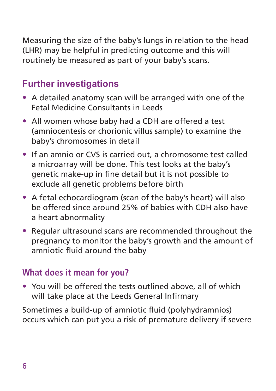Measuring the size of the baby's lungs in relation to the head (LHR) may be helpful in predicting outcome and this will routinely be measured as part of your baby's scans.

# **Further investigations**

- A detailed anatomy scan will be arranged with one of the Fetal Medicine Consultants in Leeds
- All women whose baby had a CDH are offered a test (amniocentesis or chorionic villus sample) to examine the baby's chromosomes in detail
- If an amnio or CVS is carried out, a chromosome test called a microarray will be done. This test looks at the baby's genetic make-up in fine detail but it is not possible to exclude all genetic problems before birth
- A fetal echocardiogram (scan of the baby's heart) will also be offered since around 25% of babies with CDH also have a heart abnormality
- Regular ultrasound scans are recommended throughout the pregnancy to monitor the baby's growth and the amount of amniotic fluid around the baby

#### **What does it mean for you?**

• You will be offered the tests outlined above, all of which will take place at the Leeds General Infirmary

Sometimes a build-up of amniotic fluid (polyhydramnios) occurs which can put you a risk of premature delivery if severe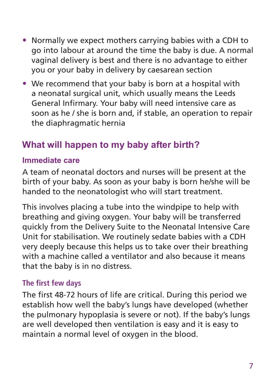- Normally we expect mothers carrying babies with a CDH to go into labour at around the time the baby is due. A normal vaginal delivery is best and there is no advantage to either you or your baby in delivery by caesarean section
- We recommend that your baby is born at a hospital with a neonatal surgical unit, which usually means the Leeds General Infirmary. Your baby will need intensive care as soon as he / she is born and, if stable, an operation to repair the diaphragmatic hernia

# **What will happen to my baby after birth?**

#### **Immediate care**

A team of neonatal doctors and nurses will be present at the birth of your baby. As soon as your baby is born he/she will be handed to the neonatologist who will start treatment.

This involves placing a tube into the windpipe to help with breathing and giving oxygen. Your baby will be transferred quickly from the Delivery Suite to the Neonatal Intensive Care Unit for stabilisation. We routinely sedate babies with a CDH very deeply because this helps us to take over their breathing with a machine called a ventilator and also because it means that the baby is in no distress.

#### **The first few days**

The first 48-72 hours of life are critical. During this period we establish how well the baby's lungs have developed (whether the pulmonary hypoplasia is severe or not). If the baby's lungs are well developed then ventilation is easy and it is easy to maintain a normal level of oxygen in the blood.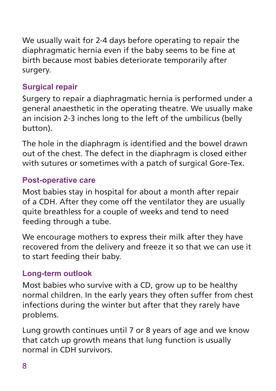We usually wait for 2-4 days before operating to repair the diaphragmatic hernia even if the baby seems to be fine at birth because most babies deteriorate temporarily after surgery.

#### **Surgical repair**

Surgery to repair a diaphragmatic hernia is performed under a general anaesthetic in the operating theatre. We usually make an incision 2-3 inches long to the left of the umbilicus (belly button).

The hole in the diaphragm is identified and the bowel drawn out of the chest. The defect in the diaphragm is closed either with sutures or sometimes with a patch of surgical Gore-Tex.

#### **Post-operative care**

Most babies stay in hospital for about a month after repair of a CDH. After they come off the ventilator they are usually quite breathless for a couple of weeks and tend to need feeding through a tube.

We encourage mothers to express their milk after they have recovered from the delivery and freeze it so that we can use it to start feeding their baby.

#### **Long-term outlook**

Most babies who survive with a CD, grow up to be healthy normal children. In the early years they often suffer from chest infections during the winter but after that they rarely have problems.

Lung growth continues until 7 or 8 years of age and we know that catch up growth means that lung function is usually normal in CDH survivors.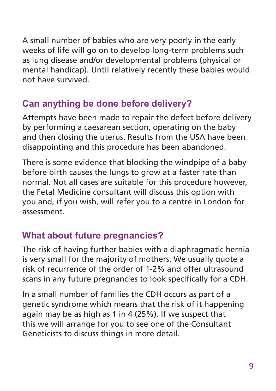A small number of babies who are very poorly in the early weeks of life will go on to develop long-term problems such as lung disease and/or developmental problems (physical or mental handicap). Until relatively recently these babies would not have survived.

# **Can anything be done before delivery?**

Attempts have been made to repair the defect before delivery by performing a caesarean section, operating on the baby and then closing the uterus. Results from the USA have been disappointing and this procedure has been abandoned.

There is some evidence that blocking the windpipe of a baby before birth causes the lungs to grow at a faster rate than normal. Not all cases are suitable for this procedure however, the Fetal Medicine consultant will discuss this option with you and, if you wish, will refer you to a centre in London for assessment.

# **What about future pregnancies?**

The risk of having further babies with a diaphragmatic hernia is very small for the majority of mothers. We usually quote a risk of recurrence of the order of 1-2% and offer ultrasound scans in any future pregnancies to look specifically for a CDH.

In a small number of families the CDH occurs as part of a genetic syndrome which means that the risk of it happening again may be as high as 1 in 4 (25%). If we suspect that this we will arrange for you to see one of the Consultant Geneticists to discuss things in more detail.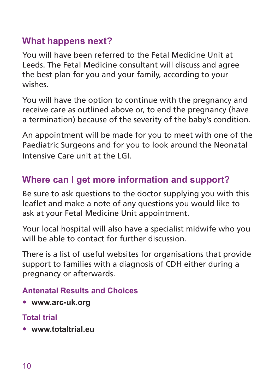## **What happens next?**

You will have been referred to the Fetal Medicine Unit at Leeds. The Fetal Medicine consultant will discuss and agree the best plan for you and your family, according to your wishes.

You will have the option to continue with the pregnancy and receive care as outlined above or, to end the pregnancy (have a termination) because of the severity of the baby's condition.

An appointment will be made for you to meet with one of the Paediatric Surgeons and for you to look around the Neonatal Intensive Care unit at the LGI.

# **Where can I get more information and support?**

Be sure to ask questions to the doctor supplying you with this leaflet and make a note of any questions you would like to ask at your Fetal Medicine Unit appointment.

Your local hospital will also have a specialist midwife who you will be able to contact for further discussion

There is a list of useful websites for organisations that provide support to families with a diagnosis of CDH either during a pregnancy or afterwards.

#### **Antenatal Results and Choices**

• **www.arc-uk.org**

#### **Total trial**

• **www.totaltrial.eu**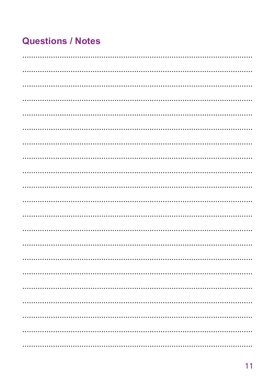# **Questions / Notes**